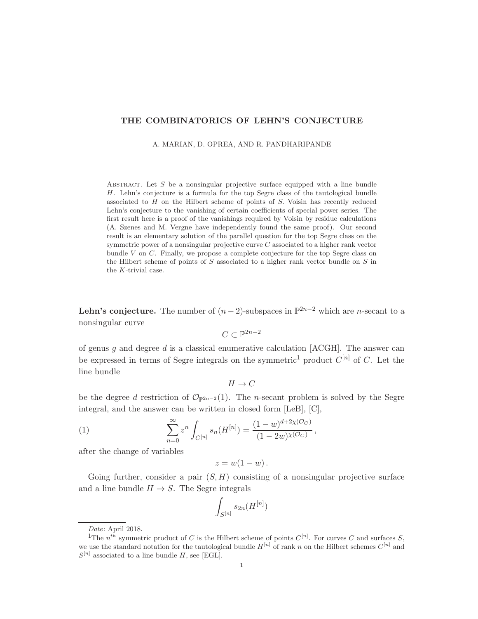## THE COMBINATORICS OF LEHN'S CONJECTURE

A. MARIAN, D. OPREA, AND R. PANDHARIPANDE

ABSTRACT. Let  $S$  be a nonsingular projective surface equipped with a line bundle H. Lehn's conjecture is a formula for the top Segre class of the tautological bundle associated to H on the Hilbert scheme of points of S. Voisin has recently reduced Lehn's conjecture to the vanishing of certain coefficients of special power series. The first result here is a proof of the vanishings required by Voisin by residue calculations (A. Szenes and M. Vergne have independently found the same proof). Our second result is an elementary solution of the parallel question for the top Segre class on the symmetric power of a nonsingular projective curve  $C$  associated to a higher rank vector bundle  $V$  on  $C$ . Finally, we propose a complete conjecture for the top Segre class on the Hilbert scheme of points of  $S$  associated to a higher rank vector bundle on  $S$  in the K-trivial case.

**Lehn's conjecture.** The number of  $(n-2)$ -subspaces in  $\mathbb{P}^{2n-2}$  which are *n*-secant to a nonsingular curve

$$
C\subset\mathbb{P}^{2n-2}
$$

of genus g and degree d is a classical enumerative calculation  $[ACGH]$ . The answer can be expressed in terms of Segre integrals on the symmetric<sup>1</sup> product  $C^{[n]}$  of C. Let the line bundle

 $H \to C$ 

be the degree d restriction of  $\mathcal{O}_{\mathbb{P}^{2n-2}}(1)$ . The n-secant problem is solved by the Segre integral, and the answer can be written in closed form [LeB], [C],

(1) 
$$
\sum_{n=0}^{\infty} z^n \int_{C^{[n]}} s_n(H^{[n]}) = \frac{(1-w)^{d+2\chi(\mathcal{O}_C)}}{(1-2w)^{\chi(\mathcal{O}_C)}},
$$

after the change of variables

 $z = w(1 - w)$ .

Going further, consider a pair  $(S, H)$  consisting of a nonsingular projective surface and a line bundle  $H \to S$ . The Segre integrals

$$
\int_{S^{[n]}} s_{2n}(H^{[n]})
$$

Date: April 2018.

<sup>&</sup>lt;sup>1</sup>The  $n^{th}$  symmetric product of C is the Hilbert scheme of points  $C^{[n]}$ . For curves C and surfaces S, we use the standard notation for the tautological bundle  $H^{[n]}$  of rank n on the Hilbert schemes  $C^{[n]}$  and  $S^{[n]}$  associated to a line bundle H, see [EGL].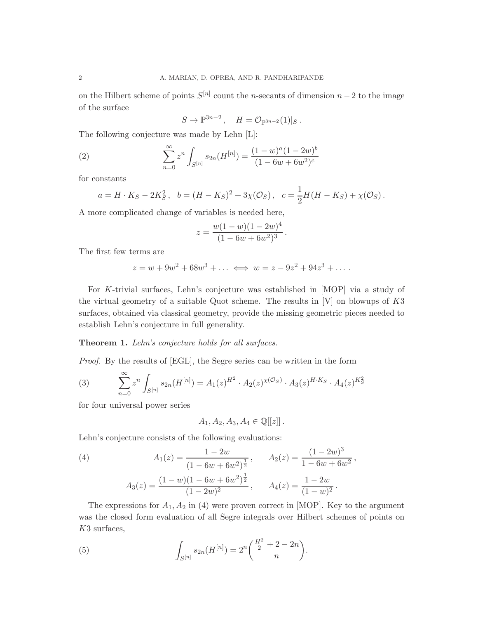on the Hilbert scheme of points  $S^{[n]}$  count the n-secants of dimension  $n-2$  to the image of the surface

$$
S\to \mathbb{P}^{3n-2}\,,\quad H=\mathcal{O}_{\mathbb{P}^{3n-2}}(1)|_S\,.
$$

The following conjecture was made by Lehn [L]:

(2) 
$$
\sum_{n=0}^{\infty} z^n \int_{S^{[n]}} s_{2n}(H^{[n]}) = \frac{(1-w)^a (1-2w)^b}{(1-6w+6w^2)^c}
$$

for constants

$$
a = H \cdot K_S - 2K_S^2
$$
,  $b = (H - K_S)^2 + 3\chi(\mathcal{O}_S)$ ,  $c = \frac{1}{2}H(H - K_S) + \chi(\mathcal{O}_S)$ .

A more complicated change of variables is needed here,

$$
z = \frac{w(1-w)(1-2w)^4}{(1-6w+6w^2)^3}.
$$

The first few terms are

$$
z = w + 9w^2 + 68w^3 + \dots \iff w = z - 9z^2 + 94z^3 + \dots
$$

For K-trivial surfaces, Lehn's conjecture was established in [MOP] via a study of the virtual geometry of a suitable Quot scheme. The results in  $[V]$  on blowups of  $K3$ surfaces, obtained via classical geometry, provide the missing geometric pieces needed to establish Lehn's conjecture in full generality.

## Theorem 1. Lehn's conjecture holds for all surfaces.

Proof. By the results of [EGL], the Segre series can be written in the form

(3) 
$$
\sum_{n=0}^{\infty} z^n \int_{S^{[n]}} s_{2n}(H^{[n]}) = A_1(z)^{H^2} \cdot A_2(z)^{\chi(\mathcal{O}_S)} \cdot A_3(z)^{H \cdot K_S} \cdot A_4(z)^{K_S^2}
$$

for four universal power series

$$
A_1, A_2, A_3, A_4 \in \mathbb{Q}[[z]]
$$
.

Lehn's conjecture consists of the following evaluations:

(4) 
$$
A_1(z) = \frac{1 - 2w}{(1 - 6w + 6w^2)^{\frac{1}{2}}}, \qquad A_2(z) = \frac{(1 - 2w)^3}{1 - 6w + 6w^2},
$$

$$
A_3(z) = \frac{(1 - w)(1 - 6w + 6w^2)^{\frac{1}{2}}}{(1 - 2w)^2}, \qquad A_4(z) = \frac{1 - 2w}{(1 - w)^2}.
$$

The expressions for  $A_1, A_2$  in (4) were proven correct in [MOP]. Key to the argument was the closed form evaluation of all Segre integrals over Hilbert schemes of points on K3 surfaces,

(5) 
$$
\int_{S^{[n]}} s_{2n}(H^{[n]}) = 2^n \binom{\frac{H^2}{2} + 2 - 2n}{n}.
$$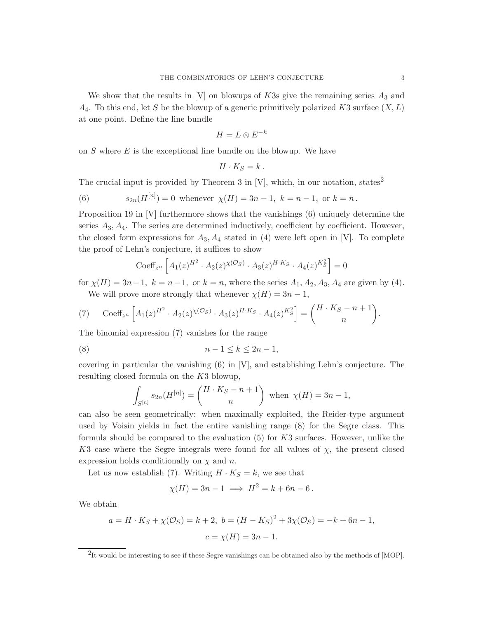We show that the results in [V] on blowups of K3s give the remaining series  $A_3$  and  $A_4$ . To this end, let S be the blowup of a generic primitively polarized K3 surface  $(X, L)$ at one point. Define the line bundle

$$
H=L\otimes E^{-k}
$$

on  $S$  where  $E$  is the exceptional line bundle on the blowup. We have

$$
H\cdot K_S=k\,.
$$

The crucial input is provided by Theorem 3 in  $[V]$ , which, in our notation, states<sup>2</sup>

(6) 
$$
s_{2n}(H^{[n]}) = 0
$$
 whenever  $\chi(H) = 3n - 1$ ,  $k = n - 1$ , or  $k = n$ .

Proposition 19 in [V] furthermore shows that the vanishings (6) uniquely determine the series  $A_3, A_4$ . The series are determined inductively, coefficient by coefficient. However, the closed form expressions for  $A_3$ ,  $A_4$  stated in (4) were left open in [V]. To complete the proof of Lehn's conjecture, it suffices to show

$$
\text{Coeff}_{z^n} \left[ A_1(z)^{H^2} \cdot A_2(z)^{\chi(\mathcal{O}_S)} \cdot A_3(z)^{H \cdot K_S} \cdot A_4(z)^{K_S^2} \right] = 0
$$

for  $\chi(H) = 3n-1$ ,  $k = n-1$ , or  $k = n$ , where the series  $A_1, A_2, A_3, A_4$  are given by (4). We will prove more strongly that whenever  $\chi(H) = 3n - 1$ ,

(7) 
$$
\operatorname{Coeff}_{z^n} \left[ A_1(z)^{H^2} \cdot A_2(z)^{\chi(\mathcal{O}_S)} \cdot A_3(z)^{H \cdot K_S} \cdot A_4(z)^{K_S^2} \right] = \binom{H \cdot K_S - n + 1}{n}.
$$

The binomial expression (7) vanishes for the range

$$
(8) \qquad \qquad n-1 \le k \le 2n-1,
$$

covering in particular the vanishing  $(6)$  in  $[V]$ , and establishing Lehn's conjecture. The resulting closed formula on the K3 blowup,

$$
\int_{S^{[n]}} s_{2n}(H^{[n]}) = \binom{H \cdot K_S - n + 1}{n} \text{ when } \chi(H) = 3n - 1,
$$

can also be seen geometrically: when maximally exploited, the Reider-type argument used by Voisin yields in fact the entire vanishing range (8) for the Segre class. This formula should be compared to the evaluation  $(5)$  for  $K3$  surfaces. However, unlike the K3 case where the Segre integrals were found for all values of  $\chi$ , the present closed expression holds conditionally on  $\chi$  and n.

Let us now establish (7). Writing  $H \cdot K_S = k$ , we see that

$$
\chi(H) = 3n - 1 \implies H^2 = k + 6n - 6.
$$

We obtain

$$
a = H \cdot K_S + \chi(\mathcal{O}_S) = k + 2, \ b = (H - K_S)^2 + 3\chi(\mathcal{O}_S) = -k + 6n - 1,
$$
  

$$
c = \chi(H) = 3n - 1.
$$

<sup>&</sup>lt;sup>2</sup>It would be interesting to see if these Segre vanishings can be obtained also by the methods of [MOP].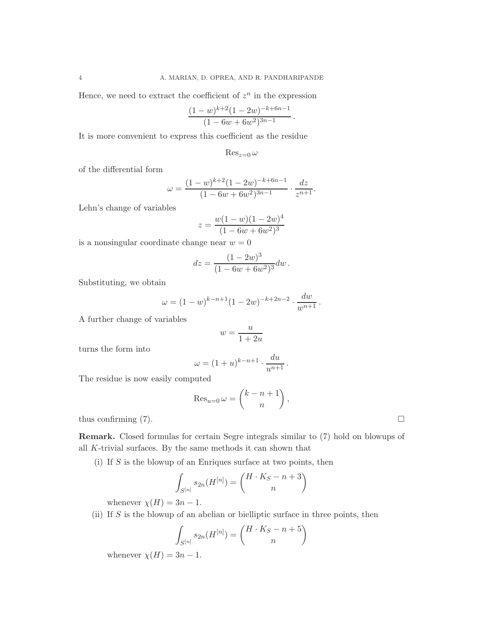Hence, we need to extract the coefficient of  $z^n$  in the expression

$$
\frac{(1-w)^{k+2}(1-2w)^{-k+6n-1}}{(1-6w+6w^2)^{3n-1}}.
$$

It is more convenient to express this coefficient as the residue

$$
\operatorname{Res}_{z=0}\omega
$$

of the differential form

$$
\omega = \frac{(1 - w)^{k+2} (1 - 2w)^{-k+6n-1}}{(1 - 6w + 6w^2)^{3n-1}} \cdot \frac{dz}{z^{n+1}}.
$$

Lehn's change of variables

$$
z = \frac{w(1 - w)(1 - 2w)^4}{(1 - 6w + 6w^2)^3}
$$

is a nonsingular coordinate change near  $w = 0$ 

$$
dz = \frac{(1 - 2w)^3}{(1 - 6w + 6w^2)^3} dw.
$$

Substituting, we obtain

$$
\omega = (1 - w)^{k - n + 1} (1 - 2w)^{-k + 2n - 2} \cdot \frac{dw}{w^{n + 1}}.
$$

A further change of variables

$$
w = \frac{u}{1 + 2u}
$$

turns the form into

$$
\omega = (1+u)^{k-n+1} \cdot \frac{du}{u^{n+1}}.
$$

The residue is now easily computed

$$
\operatorname{Res}_{u=0} \omega = \binom{k-n+1}{n},
$$

thus confirming  $(7)$ .

Remark. Closed formulas for certain Segre integrals similar to (7) hold on blowups of all K-trivial surfaces. By the same methods it can shown that

(i) If  $S$  is the blowup of an Enriques surface at two points, then

$$
\int_{S^{[n]}} s_{2n}(H^{[n]}) = \binom{H \cdot K_S - n + 3}{n}
$$

whenever  $\chi(H) = 3n - 1$ .

(ii) If  $S$  is the blowup of an abelian or bielliptic surface in three points, then

$$
\int_{S^{[n]}} s_{2n}(H^{[n]}) = \binom{H \cdot K_S - n + 5}{n}
$$

whenever  $\chi(H) = 3n - 1$ .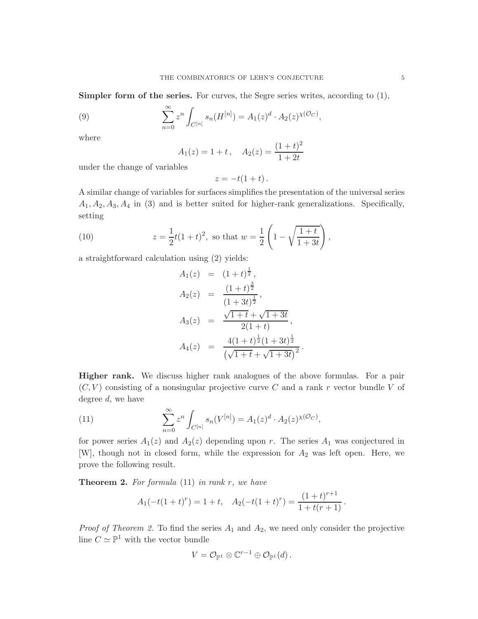Simpler form of the series. For curves, the Segre series writes, according to (1),

(9) 
$$
\sum_{n=0}^{\infty} z^n \int_{C^{[n]}} s_n(H^{[n]}) = A_1(z)^d \cdot A_2(z)^{\chi(\mathcal{O}_C)},
$$

where

$$
A_1(z) = 1 + t
$$
,  $A_2(z) = \frac{(1+t)^2}{1+2t}$ 

under the change of variables

$$
z=-t(1+t).
$$

A similar change of variables for surfaces simplifies the presentation of the universal series  $A_1, A_2, A_3, A_4$  in (3) and is better suited for higher-rank generalizations. Specifically, setting

(10) 
$$
z = \frac{1}{2}t(1+t)^2, \text{ so that } w = \frac{1}{2}\left(1-\sqrt{\frac{1+t}{1+3t}}\right),
$$

a straightforward calculation using (2) yields:

$$
A_1(z) = (1+t)^{\frac{1}{2}},
$$
  
\n
$$
A_2(z) = \frac{(1+t)^{\frac{3}{2}}}{(1+3t)^{\frac{1}{2}}},
$$
  
\n
$$
A_3(z) = \frac{\sqrt{1+t} + \sqrt{1+3t}}{2(1+t)},
$$
  
\n
$$
A_4(z) = \frac{4(1+t)^{\frac{1}{2}}(1+3t)^{\frac{1}{2}}}{(\sqrt{1+t} + \sqrt{1+3t})^2}.
$$

Higher rank. We discuss higher rank analogues of the above formulas. For a pair  $(C, V)$  consisting of a nonsingular projective curve C and a rank r vector bundle V of degree d, we have

(11) 
$$
\sum_{n=0}^{\infty} z^n \int_{C^{[n]}} s_n(V^{[n]}) = A_1(z)^d \cdot A_2(z)^{\chi(\mathcal{O}_C)},
$$

for power series  $A_1(z)$  and  $A_2(z)$  depending upon r. The series  $A_1$  was conjectured in [W], though not in closed form, while the expression for A<sup>2</sup> was left open. Here, we prove the following result.

**Theorem 2.** For formula  $(11)$  in rank r, we have

$$
A_1(-t(1+t)^r) = 1+t, \quad A_2(-t(1+t)^r) = \frac{(1+t)^{r+1}}{1+t(r+1)}.
$$

*Proof of Theorem 2.* To find the series  $A_1$  and  $A_2$ , we need only consider the projective line  $C \simeq \mathbb{P}^1$  with the vector bundle

$$
V=\mathcal{O}_{\mathbb{P}^1}\otimes \mathbb{C}^{r-1}\oplus \mathcal{O}_{\mathbb{P}^1}(d)\,.
$$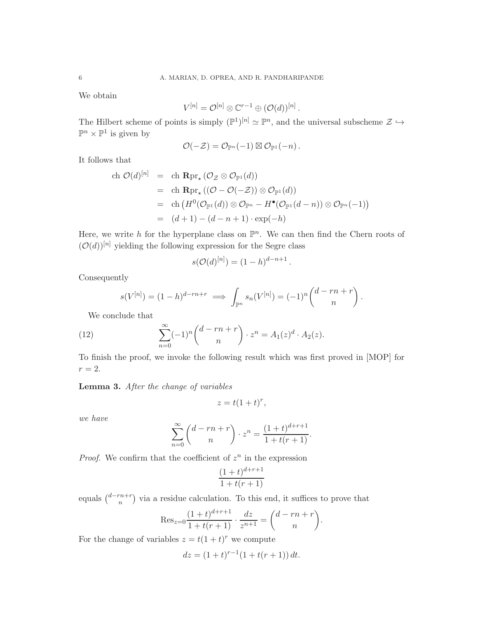We obtain

$$
V^{[n]} = \mathcal{O}^{[n]} \otimes \mathbb{C}^{r-1} \oplus (\mathcal{O}(d))^{[n]}.
$$

The Hilbert scheme of points is simply  $(\mathbb{P}^1)^{[n]} \simeq \mathbb{P}^n$ , and the universal subscheme  $\mathcal{Z} \hookrightarrow$  $\mathbb{P}^n \times \mathbb{P}^1$  is given by

$$
\mathcal{O}(-\mathcal{Z})=\mathcal{O}_{\mathbb{P}^n}(-1)\boxtimes \mathcal{O}_{\mathbb{P}^1}(-n)\,.
$$

It follows that

ch 
$$
\mathcal{O}(d)^{[n]}
$$
 = ch  $\mathbb{R}\text{pr}_{*} (\mathcal{O}_{\mathcal{Z}} \otimes \mathcal{O}_{\mathbb{P}^{1}}(d))$   
\n= ch  $\mathbb{R}\text{pr}_{*} ((\mathcal{O} - \mathcal{O}(-\mathcal{Z})) \otimes \mathcal{O}_{\mathbb{P}^{1}}(d))$   
\n= ch  $(H^{0}(\mathcal{O}_{\mathbb{P}^{1}}(d)) \otimes \mathcal{O}_{\mathbb{P}^{n}} - H^{\bullet}(\mathcal{O}_{\mathbb{P}^{1}}(d - n)) \otimes \mathcal{O}_{\mathbb{P}^{n}}(-1))$   
\n=  $(d+1) - (d-n+1) \cdot \exp(-h)$ 

Here, we write h for the hyperplane class on  $\mathbb{P}^n$ . We can then find the Chern roots of  $(\mathcal{O}(d))^{[n]}$  yielding the following expression for the Segre class

$$
s(\mathcal{O}(d)^{[n]}) = (1-h)^{d-n+1}.
$$

Consequently

$$
s(V^{[n]}) = (1-h)^{d-rn+r} \implies \int_{\mathbb{P}^n} s_n(V^{[n]}) = (-1)^n \binom{d-rn+r}{n}.
$$

We conclude that

(12) 
$$
\sum_{n=0}^{\infty} (-1)^n {d-rn+r \choose n} \cdot z^n = A_1(z)^d \cdot A_2(z).
$$

To finish the proof, we invoke the following result which was first proved in [MOP] for  $r=2.$ 

Lemma 3. After the change of variables

$$
z = t(1+t)^r,
$$

we have

$$
\sum_{n=0}^{\infty} {d-rn+r \choose n} \cdot z^n = \frac{(1+t)^{d+r+1}}{1+t(r+1)}.
$$

*Proof.* We confirm that the coefficient of  $z^n$  in the expression

$$
\frac{(1+t)^{d+r+1}}{1+t(r+1)}
$$

equals  $\binom{d-rn+r}{r}$  $\binom{n+r}{n}$  via a residue calculation. To this end, it suffices to prove that

$$
\text{Res}_{z=0} \frac{(1+t)^{d+r+1}}{1+t(r+1)} \cdot \frac{dz}{z^{n+1}} = \binom{d-rn+r}{n}.
$$

For the change of variables  $z = t(1 + t)^r$  we compute

$$
dz = (1+t)^{r-1}(1+t(r+1)) dt.
$$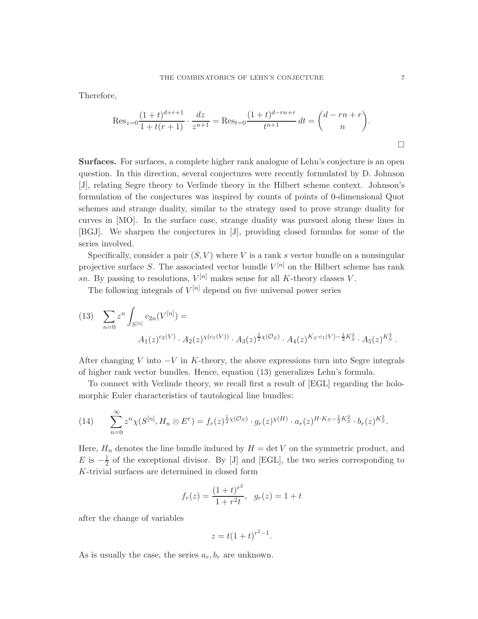Therefore,

$$
\operatorname{Res}_{z=0} \frac{(1+t)^{d+r+1}}{1+t(r+1)} \cdot \frac{dz}{z^{n+1}} = \operatorname{Res}_{t=0} \frac{(1+t)^{d-rn+r}}{t^{n+1}} dt = \binom{d-rn+r}{n}.
$$

Surfaces. For surfaces, a complete higher rank analogue of Lehn's conjecture is an open question. In this direction, several conjectures were recently formulated by D. Johnson [J], relating Segre theory to Verlinde theory in the Hilbert scheme context. Johnson's formulation of the conjectures was inspired by counts of points of 0-dimensional Quot schemes and strange duality, similar to the strategy used to prove strange duality for curves in [MO]. In the surface case, strange duality was pursued along these lines in [BGJ]. We sharpen the conjectures in [J], providing closed formulas for some of the series involved.

Specifically, consider a pair  $(S, V)$  where V is a rank s vector bundle on a nonsingular projective surface S. The associated vector bundle  $V^{[n]}$  on the Hilbert scheme has rank sn. By passing to resolutions,  $V^{[n]}$  makes sense for all K-theory classes V.

The following integrals of  $V^{[n]}$  depend on five universal power series

(13) 
$$
\sum_{n=0} z^n \int_{S^{[n]}} c_{2n}(V^{[n]}) =
$$

$$
A_1(z)^{c_2(V)} \cdot A_2(z)^{\chi(c_1(V))} \cdot A_3(z)^{\frac{1}{2}\chi(\mathcal{O}_S)} \cdot A_4(z)^{K_S \cdot c_1(V) - \frac{1}{2}K_S^2} \cdot A_5(z)^{K_S^2}.
$$

After changing V into  $-V$  in K-theory, the above expressions turn into Segre integrals of higher rank vector bundles. Hence, equation (13) generalizes Lehn's formula.

To connect with Verlinde theory, we recall first a result of [EGL] regarding the holomorphic Euler characteristics of tautological line bundles:

(14) 
$$
\sum_{n=0}^{\infty} z^n \chi(S^{[n]}, H_n \otimes E^r) = f_r(z)^{\frac{1}{2}\chi(\mathcal{O}_S)} \cdot g_r(z)^{\chi(H)} \cdot a_r(z)^{H \cdot K_S - \frac{1}{2}K_S^2} \cdot b_r(z)^{K_S^2}.
$$

Here,  $H_n$  denotes the line bundle induced by  $H = \det V$  on the symmetric product, and E is  $-\frac{1}{2}$  $\frac{1}{2}$  of the exceptional divisor. By [J] and [EGL], the two series corresponding to K-trivial surfaces are determined in closed form

$$
f_r(z) = \frac{(1+t)^{r^2}}{1+r^2t}, \quad g_r(z) = 1+t
$$

after the change of variables

$$
z = t(1+t)^{r^2-1}.
$$

As is usually the case, the series  $a_r, b_r$  are unknown.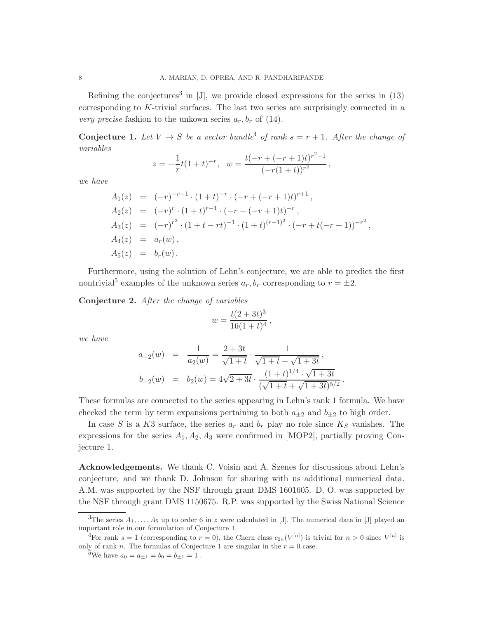Refining the conjectures<sup>3</sup> in  $[J]$ , we provide closed expressions for the series in  $(13)$ corresponding to  $K$ -trivial surfaces. The last two series are surprisingly connected in a very precise fashion to the unkown series  $a_r, b_r$  of (14).

**Conjecture 1.** Let  $V \rightarrow S$  be a vector bundle<sup>4</sup> of rank  $s = r + 1$ . After the change of variables

$$
z = -\frac{1}{r}t(1+t)^{-r}, \quad w = \frac{t(-r + (-r+1)t)^{r^2-1}}{(-r(1+t))^{r^2}},
$$

we have

$$
A_1(z) = (-r)^{-r-1} \cdot (1+t)^{-r} \cdot (-r+(-r+1)t)^{r+1},
$$
  
\n
$$
A_2(z) = (-r)^r \cdot (1+t)^{r-1} \cdot (-r+(-r+1)t)^{-r},
$$
  
\n
$$
A_3(z) = (-r)^{r^2} \cdot (1+t-rt)^{-1} \cdot (1+t)^{(r-1)^2} \cdot (-r+t(-r+1))^{-r^2},
$$
  
\n
$$
A_4(z) = a_r(w),
$$
  
\n
$$
A_5(z) = b_r(w).
$$

Furthermore, using the solution of Lehn's conjecture, we are able to predict the first nontrivial<sup>5</sup> examples of the unknown series  $a_r, b_r$  corresponding to  $r = \pm 2$ .

Conjecture 2. After the change of variables

$$
w = \frac{t(2+3t)^3}{16(1+t)^4},
$$

we have

$$
a_{-2}(w) = \frac{1}{a_2(w)} = \frac{2+3t}{\sqrt{1+t}} \cdot \frac{1}{\sqrt{1+t} + \sqrt{1+3t}},
$$
  
\n
$$
b_{-2}(w) = b_2(w) = 4\sqrt{2+3t} \cdot \frac{(1+t)^{1/4} \cdot \sqrt{1+3t}}{(\sqrt{1+t} + \sqrt{1+3t})^{5/2}}.
$$

These formulas are connected to the series appearing in Lehn's rank 1 formula. We have checked the term by term expansions pertaining to both  $a_{\pm 2}$  and  $b_{\pm 2}$  to high order.

In case S is a K3 surface, the series  $a_r$  and  $b_r$  play no role since  $K_S$  vanishes. The expressions for the series  $A_1, A_2, A_3$  were confirmed in [MOP2], partially proving Conjecture 1.

Acknowledgements. We thank C. Voisin and A. Szenes for discussions about Lehn's conjecture, and we thank D. Johnson for sharing with us additional numerical data. A.M. was supported by the NSF through grant DMS 1601605. D. O. was supported by the NSF through grant DMS 1150675. R.P. was supported by the Swiss National Science

<sup>&</sup>lt;sup>3</sup>The series  $A_1, \ldots, A_5$  up to order 6 in z were calculated in [J]. The numerical data in [J] played an important role in our formulation of Conjecture 1.

<sup>&</sup>lt;sup>4</sup>For rank  $s = 1$  (corresponding to  $r = 0$ ), the Chern class  $c_{2n}(V^{[n]})$  is trivial for  $n > 0$  since  $V^{[n]}$  is only of rank n. The formulas of Conjecture 1 are singular in the  $r = 0$  case.

<sup>&</sup>lt;sup>5</sup>We have  $a_0 = a_{\pm 1} = b_0 = b_{\pm 1} = 1$ .